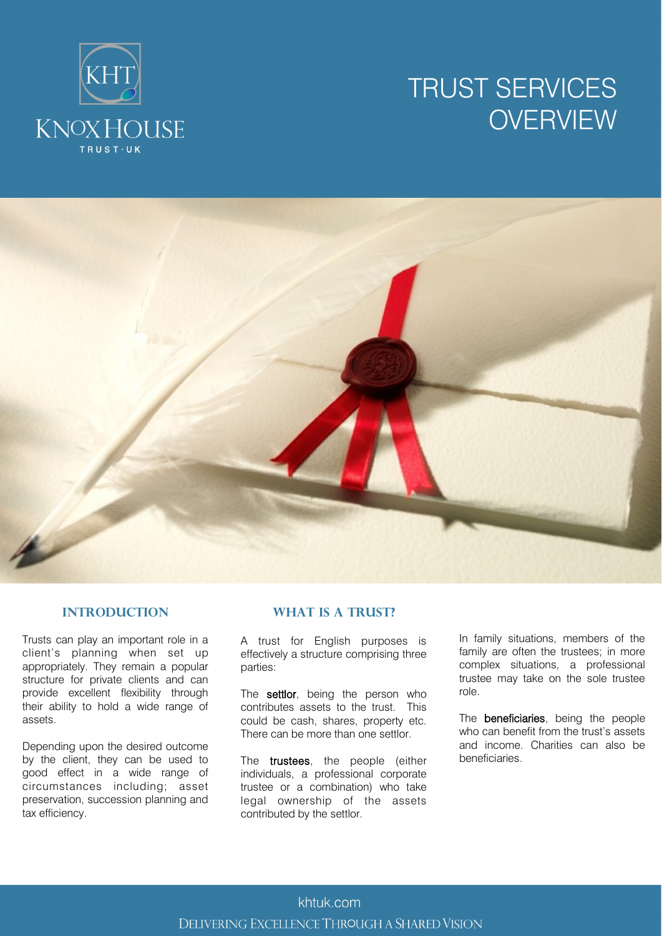# TRUST SERVICES **OVERVIEW**





#### **Introduction**

Trusts can play an important role in a client's planning when set up appropriately. They remain a popular structure for private clients and can provide excellent flexibility through their ability to hold a wide range of assets.

Depending upon the desired outcome by the client, they can be used to good effect in a wide range of circumstances including; asset preservation, succession planning and tax efficiency.

#### **WHAT IS A TRUST?**

A trust for English purposes is effectively a structure comprising three parties:

The settlor, being the person who contributes assets to the trust. This could be cash, shares, property etc. There can be more than one settlor.

The **trustees**, the people (either individuals, a professional corporate trustee or a combination) who take legal ownership of the assets contributed by the settlor.

In family situations, members of the family are often the trustees; in more complex situations, a professional trustee may take on the sole trustee role.

The **beneficiaries**, being the people who can benefit from the trust's assets and income. Charities can also be beneficiaries.